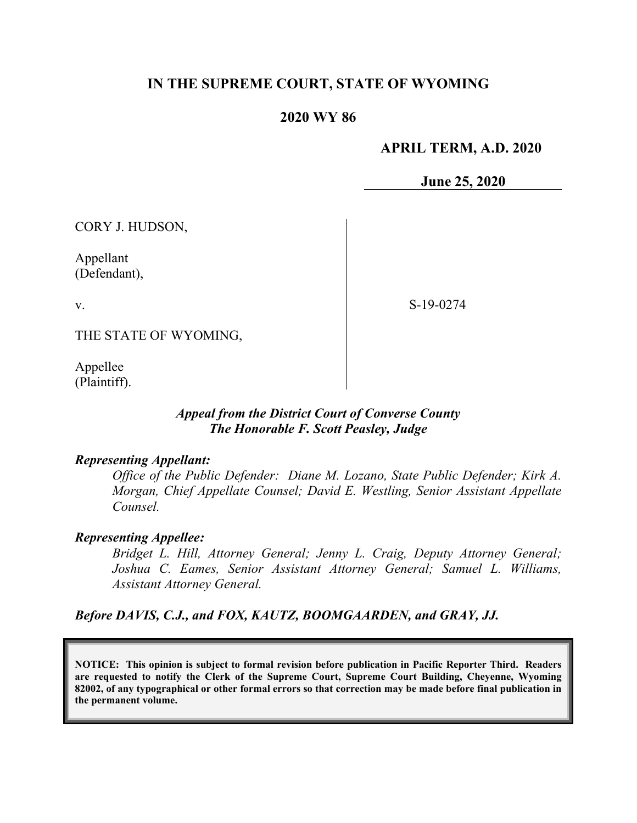# **IN THE SUPREME COURT, STATE OF WYOMING**

## **2020 WY 86**

## **APRIL TERM, A.D. 2020**

**June 25, 2020**

CORY J. HUDSON,

Appellant (Defendant),

v.

S-19-0274

THE STATE OF WYOMING,

Appellee (Plaintiff).

## *Appeal from the District Court of Converse County The Honorable F. Scott Peasley, Judge*

#### *Representing Appellant:*

*Office of the Public Defender: Diane M. Lozano, State Public Defender; Kirk A. Morgan, Chief Appellate Counsel; David E. Westling, Senior Assistant Appellate Counsel.*

## *Representing Appellee:*

*Bridget L. Hill, Attorney General; Jenny L. Craig, Deputy Attorney General; Joshua C. Eames, Senior Assistant Attorney General; Samuel L. Williams, Assistant Attorney General.*

*Before DAVIS, C.J., and FOX, KAUTZ, BOOMGAARDEN, and GRAY, JJ.*

**NOTICE: This opinion is subject to formal revision before publication in Pacific Reporter Third. Readers are requested to notify the Clerk of the Supreme Court, Supreme Court Building, Cheyenne, Wyoming 82002, of any typographical or other formal errors so that correction may be made before final publication in the permanent volume.**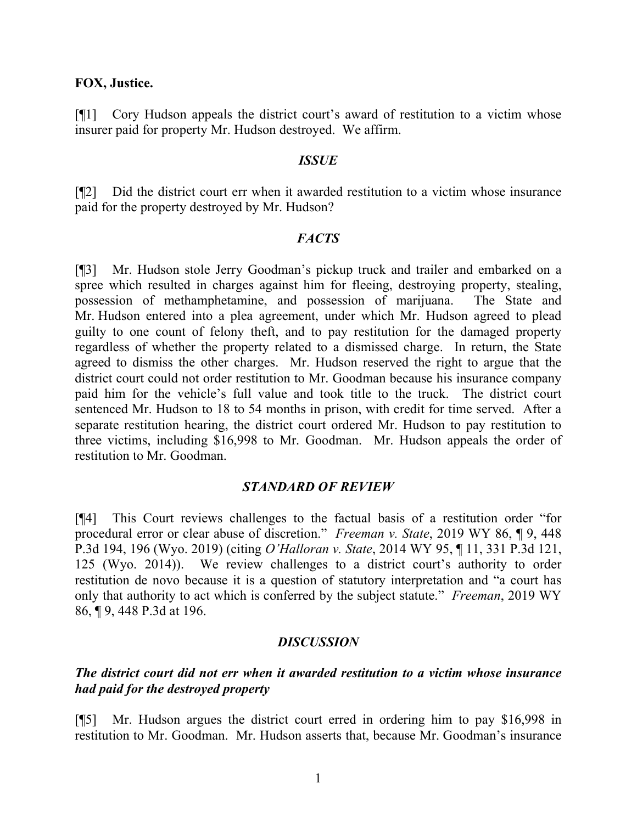#### **FOX, Justice.**

[¶1] Cory Hudson appeals the district court's award of restitution to a victim whose insurer paid for property Mr. Hudson destroyed. We affirm.

#### *ISSUE*

[¶2] Did the district court err when it awarded restitution to a victim whose insurance paid for the property destroyed by Mr. Hudson?

#### *FACTS*

[¶3] Mr. Hudson stole Jerry Goodman's pickup truck and trailer and embarked on a spree which resulted in charges against him for fleeing, destroying property, stealing, possession of methamphetamine, and possession of marijuana. The State and Mr. Hudson entered into a plea agreement, under which Mr. Hudson agreed to plead guilty to one count of felony theft, and to pay restitution for the damaged property regardless of whether the property related to a dismissed charge. In return, the State agreed to dismiss the other charges. Mr. Hudson reserved the right to argue that the district court could not order restitution to Mr. Goodman because his insurance company paid him for the vehicle's full value and took title to the truck. The district court sentenced Mr. Hudson to 18 to 54 months in prison, with credit for time served. After a separate restitution hearing, the district court ordered Mr. Hudson to pay restitution to three victims, including \$16,998 to Mr. Goodman. Mr. Hudson appeals the order of restitution to Mr. Goodman.

## *STANDARD OF REVIEW*

[¶4] This Court reviews challenges to the factual basis of a restitution order "for procedural error or clear abuse of discretion." *Freeman v. State*, 2019 WY 86, ¶ 9, 448 P.3d 194, 196 (Wyo. 2019) (citing *O'Halloran v. State*, 2014 WY 95, ¶ 11, 331 P.3d 121, 125 (Wyo. 2014)). We review challenges to a district court's authority to order restitution de novo because it is a question of statutory interpretation and "a court has only that authority to act which is conferred by the subject statute." *Freeman*, 2019 WY 86, ¶ 9, 448 P.3d at 196.

## *DISCUSSION*

# *The district court did not err when it awarded restitution to a victim whose insurance had paid for the destroyed property*

[¶5] Mr. Hudson argues the district court erred in ordering him to pay \$16,998 in restitution to Mr. Goodman. Mr. Hudson asserts that, because Mr. Goodman's insurance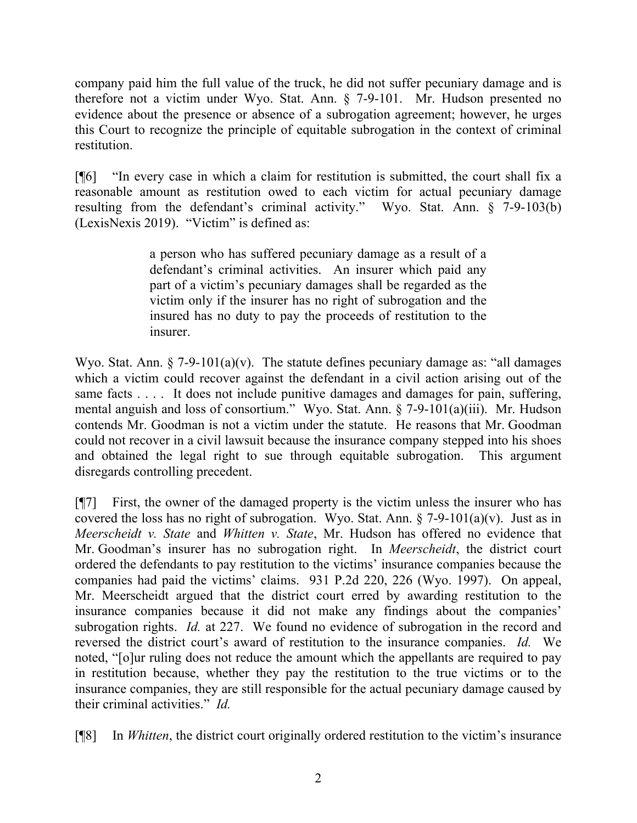company paid him the full value of the truck, he did not suffer pecuniary damage and is therefore not a victim under Wyo. Stat. Ann. § 7-9-101. Mr. Hudson presented no evidence about the presence or absence of a subrogation agreement; however, he urges this Court to recognize the principle of equitable subrogation in the context of criminal restitution.

[¶6] "In every case in which a claim for restitution is submitted, the court shall fix a reasonable amount as restitution owed to each victim for actual pecuniary damage resulting from the defendant's criminal activity." Wyo. Stat. Ann. § 7-9-103(b) (LexisNexis 2019). "Victim" is defined as:

> a person who has suffered pecuniary damage as a result of a defendant's criminal activities. An insurer which paid any part of a victim's pecuniary damages shall be regarded as the victim only if the insurer has no right of subrogation and the insured has no duty to pay the proceeds of restitution to the insurer.

Wyo. Stat. Ann.  $\S$  7-9-101(a)(v). The statute defines pecuniary damage as: "all damages which a victim could recover against the defendant in a civil action arising out of the same facts . . . . It does not include punitive damages and damages for pain, suffering, mental anguish and loss of consortium." Wyo. Stat. Ann. § 7-9-101(a)(iii). Mr. Hudson contends Mr. Goodman is not a victim under the statute. He reasons that Mr. Goodman could not recover in a civil lawsuit because the insurance company stepped into his shoes and obtained the legal right to sue through equitable subrogation. This argument disregards controlling precedent.

[¶7] First, the owner of the damaged property is the victim unless the insurer who has covered the loss has no right of subrogation. Wyo. Stat. Ann.  $\S$  7-9-101(a)(v). Just as in *Meerscheidt v. State* and *Whitten v. State*, Mr. Hudson has offered no evidence that Mr. Goodman's insurer has no subrogation right. In *Meerscheidt*, the district court ordered the defendants to pay restitution to the victims' insurance companies because the companies had paid the victims' claims. 931 P.2d 220, 226 (Wyo. 1997). On appeal, Mr. Meerscheidt argued that the district court erred by awarding restitution to the insurance companies because it did not make any findings about the companies' subrogation rights. *Id.* at 227. We found no evidence of subrogation in the record and reversed the district court's award of restitution to the insurance companies. *Id.* We noted, "[o]ur ruling does not reduce the amount which the appellants are required to pay in restitution because, whether they pay the restitution to the true victims or to the insurance companies, they are still responsible for the actual pecuniary damage caused by their criminal activities." *Id.*

[¶8] In *Whitten*, the district court originally ordered restitution to the victim's insurance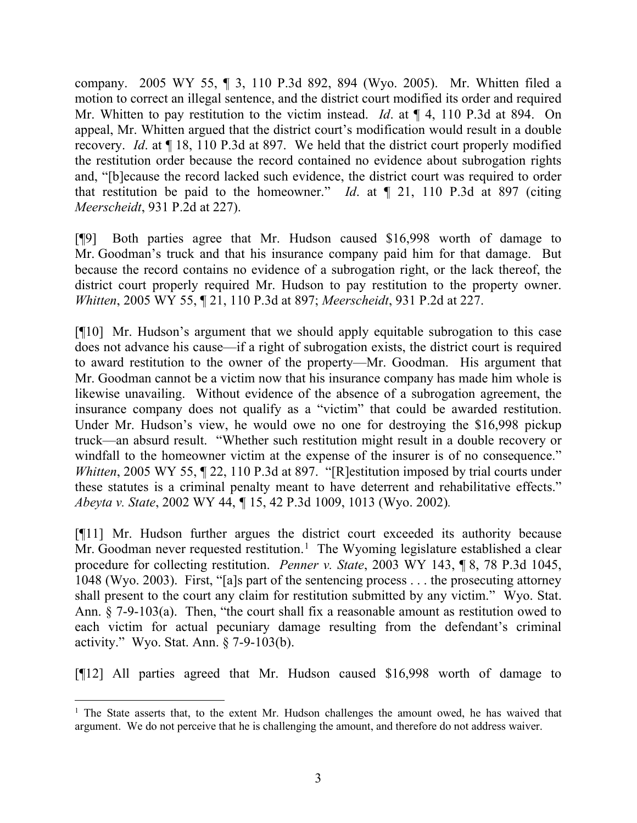company. 2005 WY 55, ¶ 3, 110 P.3d 892, 894 (Wyo. 2005). Mr. Whitten filed a motion to correct an illegal sentence, and the district court modified its order and required Mr. Whitten to pay restitution to the victim instead. *Id*. at ¶ 4, 110 P.3d at 894. On appeal, Mr. Whitten argued that the district court's modification would result in a double recovery. *Id*. at ¶ 18, 110 P.3d at 897. We held that the district court properly modified the restitution order because the record contained no evidence about subrogation rights and, "[b]ecause the record lacked such evidence, the district court was required to order that restitution be paid to the homeowner." *Id*. at ¶ 21, 110 P.3d at 897 (citing *Meerscheidt*, 931 P.2d at 227).

[¶9] Both parties agree that Mr. Hudson caused \$16,998 worth of damage to Mr. Goodman's truck and that his insurance company paid him for that damage. But because the record contains no evidence of a subrogation right, or the lack thereof, the district court properly required Mr. Hudson to pay restitution to the property owner. *Whitten*, 2005 WY 55, ¶ 21, 110 P.3d at 897; *Meerscheidt*, 931 P.2d at 227.

[¶10] Mr. Hudson's argument that we should apply equitable subrogation to this case does not advance his cause—if a right of subrogation exists, the district court is required to award restitution to the owner of the property—Mr. Goodman. His argument that Mr. Goodman cannot be a victim now that his insurance company has made him whole is likewise unavailing. Without evidence of the absence of a subrogation agreement, the insurance company does not qualify as a "victim" that could be awarded restitution. Under Mr. Hudson's view, he would owe no one for destroying the \$16,998 pickup truck—an absurd result. "Whether such restitution might result in a double recovery or windfall to the homeowner victim at the expense of the insurer is of no consequence." *Whitten*, 2005 WY 55,  $\P$  22, 110 P.3d at 897. "[R]estitution imposed by trial courts under these statutes is a criminal penalty meant to have deterrent and rehabilitative effects." *Abeyta v. State*, 2002 WY 44, *¶* 15, 42 P.3d 1009, 1013 (Wyo. 2002)*.*

[¶11] Mr. Hudson further argues the district court exceeded its authority because Mr. Goodman never requested restitution.<sup>[1](#page-3-0)</sup> The Wyoming legislature established a clear procedure for collecting restitution. *Penner v. State*, 2003 WY 143, ¶ 8, 78 P.3d 1045, 1048 (Wyo. 2003). First, "[a]s part of the sentencing process . . . the prosecuting attorney shall present to the court any claim for restitution submitted by any victim." Wyo. Stat. Ann. § 7-9-103(a). Then, "the court shall fix a reasonable amount as restitution owed to each victim for actual pecuniary damage resulting from the defendant's criminal activity." Wyo. Stat. Ann. § 7-9-103(b).

[¶12] All parties agreed that Mr. Hudson caused \$16,998 worth of damage to

<span id="page-3-0"></span><sup>&</sup>lt;sup>1</sup> The State asserts that, to the extent Mr. Hudson challenges the amount owed, he has waived that argument. We do not perceive that he is challenging the amount, and therefore do not address waiver.